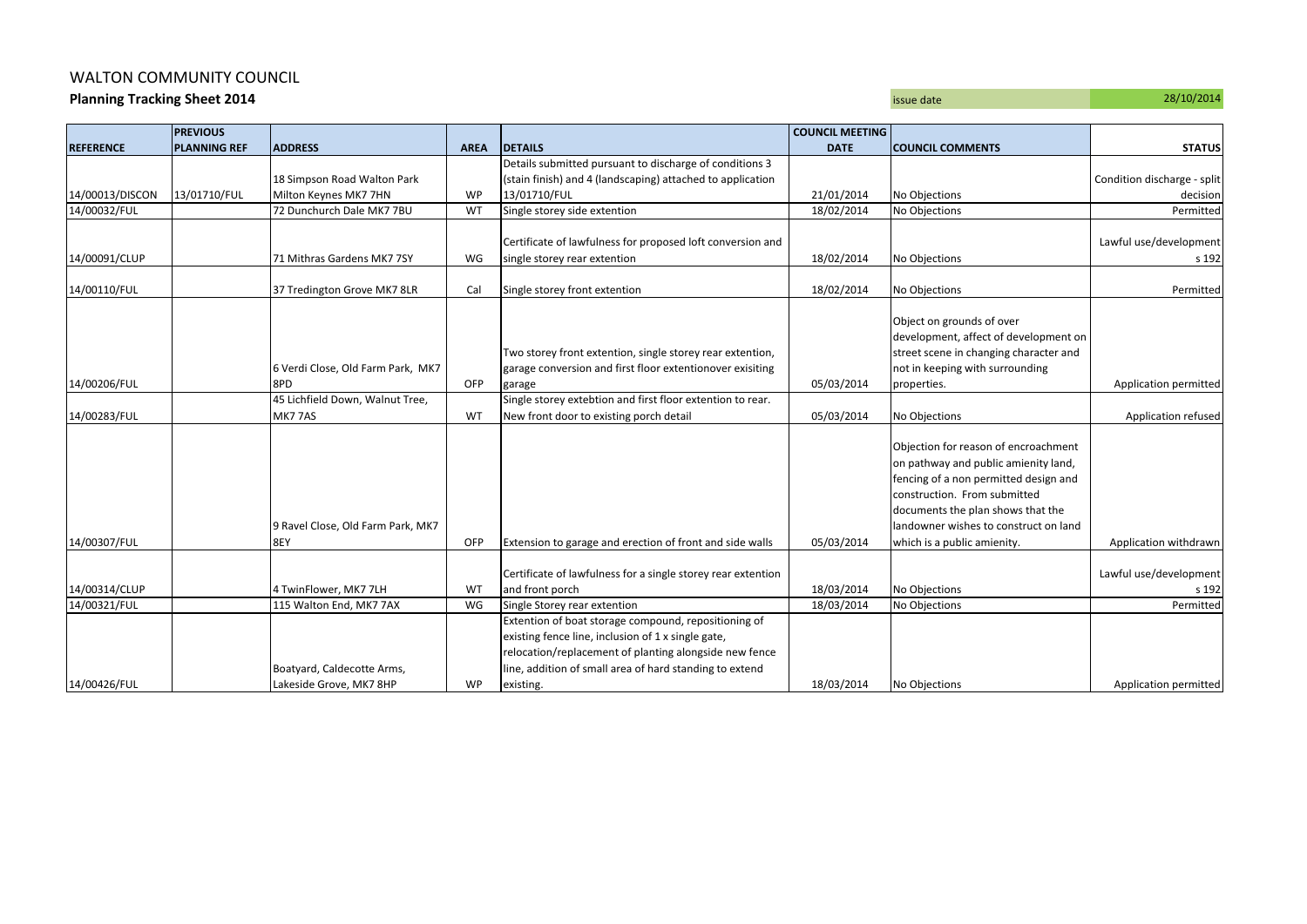## WALTON COMMUNITY COUNCIL

**Planning Tracking Sheet 2014** 28/10/2014

|  | 28/10/201 |
|--|-----------|
|  |           |
|  |           |

|                               | <b>PREVIOUS</b>     |                                                  |             |                                                                                      | <b>COUNCIL MEETING</b>   |                                        |                             |
|-------------------------------|---------------------|--------------------------------------------------|-------------|--------------------------------------------------------------------------------------|--------------------------|----------------------------------------|-----------------------------|
| <b>REFERENCE</b>              | <b>PLANNING REF</b> | <b>ADDRESS</b>                                   | <b>AREA</b> | <b>DETAILS</b>                                                                       | <b>DATE</b>              | <b>COUNCIL COMMENTS</b>                | <b>STATUS</b>               |
|                               |                     |                                                  |             | Details submitted pursuant to discharge of conditions 3                              |                          |                                        |                             |
|                               |                     | 18 Simpson Road Walton Park                      |             | (stain finish) and 4 (landscaping) attached to application                           |                          |                                        | Condition discharge - split |
| 14/00013/DISCON               | 13/01710/FUL        | Milton Keynes MK7 7HN                            | WP          | 13/01710/FUL                                                                         | 21/01/2014               | No Objections                          | decision                    |
| 14/00032/FUL                  |                     | 72 Dunchurch Dale MK7 7BU                        | WT          | Single storey side extention                                                         | 18/02/2014               | No Objections                          | Permitted                   |
|                               |                     |                                                  |             |                                                                                      |                          |                                        |                             |
|                               |                     |                                                  |             | Certificate of lawfulness for proposed loft conversion and                           |                          |                                        | Lawful use/development      |
| 14/00091/CLUP                 |                     | 71 Mithras Gardens MK7 7SY                       | WG          | single storey rear extention                                                         | 18/02/2014               | No Objections                          | s 192                       |
|                               |                     |                                                  |             |                                                                                      |                          |                                        |                             |
| 14/00110/FUL                  |                     | 37 Tredington Grove MK7 8LR                      | Cal         | Single storey front extention                                                        | 18/02/2014               | No Objections                          | Permitted                   |
|                               |                     |                                                  |             |                                                                                      |                          |                                        |                             |
|                               |                     |                                                  |             |                                                                                      |                          | Object on grounds of over              |                             |
|                               |                     |                                                  |             |                                                                                      |                          | development, affect of development on  |                             |
|                               |                     |                                                  |             | Two storey front extention, single storey rear extention,                            |                          | street scene in changing character and |                             |
|                               |                     | 6 Verdi Close, Old Farm Park, MK7                |             | garage conversion and first floor extentionover exisiting                            |                          | not in keeping with surrounding        |                             |
| 14/00206/FUL                  |                     | 8PD                                              | OFP         | garage                                                                               | 05/03/2014               | properties.                            | Application permitted       |
|                               |                     | 45 Lichfield Down, Walnut Tree,                  |             | Single storey extebtion and first floor extention to rear.                           |                          |                                        |                             |
| 14/00283/FUL                  |                     | MK77AS                                           | WT          | New front door to existing porch detail                                              | 05/03/2014               | No Objections                          | Application refused         |
|                               |                     |                                                  |             |                                                                                      |                          |                                        |                             |
|                               |                     |                                                  |             |                                                                                      |                          | Objection for reason of encroachment   |                             |
|                               |                     |                                                  |             |                                                                                      |                          | on pathway and public amienity land,   |                             |
|                               |                     |                                                  |             |                                                                                      |                          | fencing of a non permitted design and  |                             |
|                               |                     |                                                  |             |                                                                                      |                          | construction. From submitted           |                             |
|                               |                     |                                                  |             |                                                                                      |                          | documents the plan shows that the      |                             |
|                               |                     | 9 Ravel Close, Old Farm Park, MK7                |             |                                                                                      |                          | landowner wishes to construct on land  |                             |
| 14/00307/FUL                  |                     | 8EY                                              | OFP         | Extension to garage and erection of front and side walls                             | 05/03/2014               | which is a public amienity.            | Application withdrawn       |
|                               |                     |                                                  |             |                                                                                      |                          |                                        |                             |
|                               |                     |                                                  |             | Certificate of lawfulness for a single storey rear extention                         |                          |                                        | Lawful use/development      |
| 14/00314/CLUP<br>14/00321/FUL |                     | 4 TwinFlower, MK7 7LH<br>115 Walton End, MK7 7AX | WT<br>WG    | and front porch                                                                      | 18/03/2014<br>18/03/2014 | No Objections<br>No Objections         | s 192<br>Permitted          |
|                               |                     |                                                  |             | Single Storey rear extention<br>Extention of boat storage compound, repositioning of |                          |                                        |                             |
|                               |                     |                                                  |             | existing fence line, inclusion of 1 x single gate,                                   |                          |                                        |                             |
|                               |                     |                                                  |             | relocation/replacement of planting alongside new fence                               |                          |                                        |                             |
|                               |                     | Boatyard, Caldecotte Arms,                       |             | ine, addition of small area of hard standing to extend                               |                          |                                        |                             |
| 14/00426/FUL                  |                     | Lakeside Grove, MK7 8HP                          | <b>WP</b>   | existing.                                                                            | 18/03/2014               | No Objections                          | Application permitted       |
|                               |                     |                                                  |             |                                                                                      |                          |                                        |                             |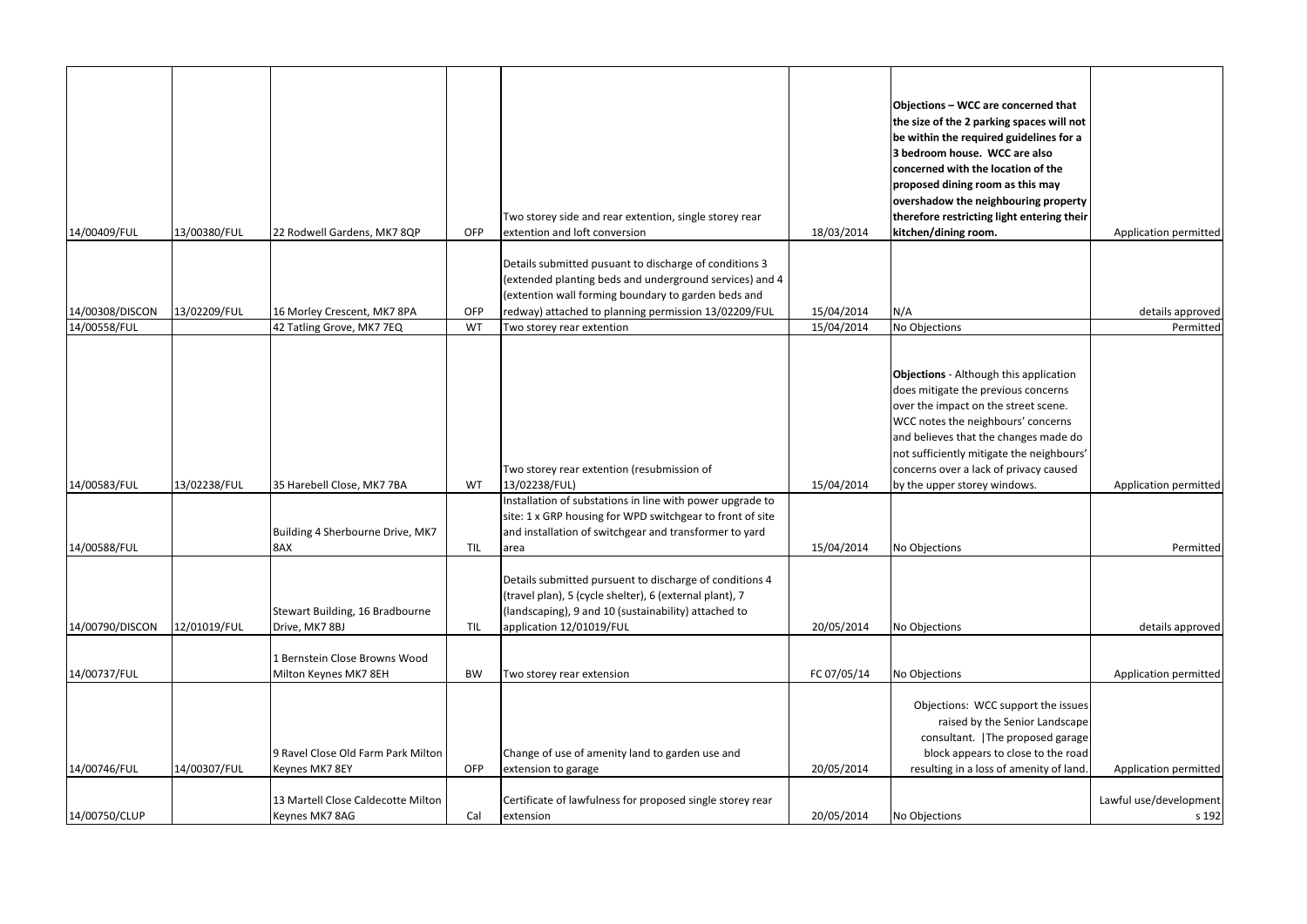| 14/00409/FUL    | 13/00380/FUL | 22 Rodwell Gardens, MK7 8QP                            | OFP       | Two storey side and rear extention, single storey rear<br>extention and loft conversion                                                                                                                                          | 18/03/2014  | Objections - WCC are concerned that<br>the size of the 2 parking spaces will not<br>be within the required guidelines for a<br>3 bedroom house. WCC are also<br>concerned with the location of the<br>proposed dining room as this may<br>overshadow the neighbouring property<br>therefore restricting light entering their<br>kitchen/dining room. | Application permitted           |
|-----------------|--------------|--------------------------------------------------------|-----------|----------------------------------------------------------------------------------------------------------------------------------------------------------------------------------------------------------------------------------|-------------|------------------------------------------------------------------------------------------------------------------------------------------------------------------------------------------------------------------------------------------------------------------------------------------------------------------------------------------------------|---------------------------------|
| 14/00308/DISCON | 13/02209/FUL | 16 Morley Crescent, MK7 8PA                            | OFP       | Details submitted pusuant to discharge of conditions 3<br>(extended planting beds and underground services) and 4<br>(extention wall forming boundary to garden beds and<br>redway) attached to planning permission 13/02209/FUL | 15/04/2014  | N/A                                                                                                                                                                                                                                                                                                                                                  | details approved                |
| 14/00558/FUL    |              | 42 Tatling Grove, MK7 7EQ                              | WT        | Two storey rear extention                                                                                                                                                                                                        | 15/04/2014  | No Objections                                                                                                                                                                                                                                                                                                                                        | Permitted                       |
| 14/00583/FUL    | 13/02238/FUL | 35 Harebell Close, MK7 7BA                             | WT        | Two storey rear extention (resubmission of<br>13/02238/FUL)<br>Installation of substations in line with power upgrade to                                                                                                         | 15/04/2014  | <b>Objections</b> - Although this application<br>does mitigate the previous concerns<br>over the impact on the street scene.<br>WCC notes the neighbours' concerns<br>and believes that the changes made do<br>not sufficiently mitigate the neighbours'<br>concerns over a lack of privacy caused<br>by the upper storey windows.                   | Application permitted           |
| 14/00588/FUL    |              | Building 4 Sherbourne Drive, MK7<br>8AX                | TIL       | site: 1 x GRP housing for WPD switchgear to front of site<br>and installation of switchgear and transformer to yard<br>area                                                                                                      | 15/04/2014  | No Objections                                                                                                                                                                                                                                                                                                                                        | Permitted                       |
| 14/00790/DISCON | 12/01019/FUL | Stewart Building, 16 Bradbourne<br>Drive, MK7 8BJ      | TIL       | Details submitted pursuent to discharge of conditions 4<br>(travel plan), 5 (cycle shelter), 6 (external plant), 7<br>(landscaping), 9 and 10 (sustainability) attached to<br>application 12/01019/FUL                           | 20/05/2014  | No Objections                                                                                                                                                                                                                                                                                                                                        | details approved                |
| 14/00737/FUL    |              | 1 Bernstein Close Browns Wood<br>Milton Keynes MK7 8EH | <b>BW</b> | Two storey rear extension                                                                                                                                                                                                        | FC 07/05/14 | No Objections                                                                                                                                                                                                                                                                                                                                        | Application permitted           |
| 14/00746/FUL    | 14/00307/FUL | 9 Ravel Close Old Farm Park Milton<br>Keynes MK7 8EY   | OFP       | Change of use of amenity land to garden use and<br>extension to garage                                                                                                                                                           | 20/05/2014  | Objections: WCC support the issues<br>raised by the Senior Landscape<br>consultant.   The proposed garage<br>block appears to close to the road<br>resulting in a loss of amenity of land.                                                                                                                                                           | Application permitted           |
| 14/00750/CLUP   |              | 13 Martell Close Caldecotte Milton<br>Keynes MK7 8AG   | Cal       | Certificate of lawfulness for proposed single storey rear<br>extension                                                                                                                                                           | 20/05/2014  | No Objections                                                                                                                                                                                                                                                                                                                                        | Lawful use/development<br>s 192 |
|                 |              |                                                        |           |                                                                                                                                                                                                                                  |             |                                                                                                                                                                                                                                                                                                                                                      |                                 |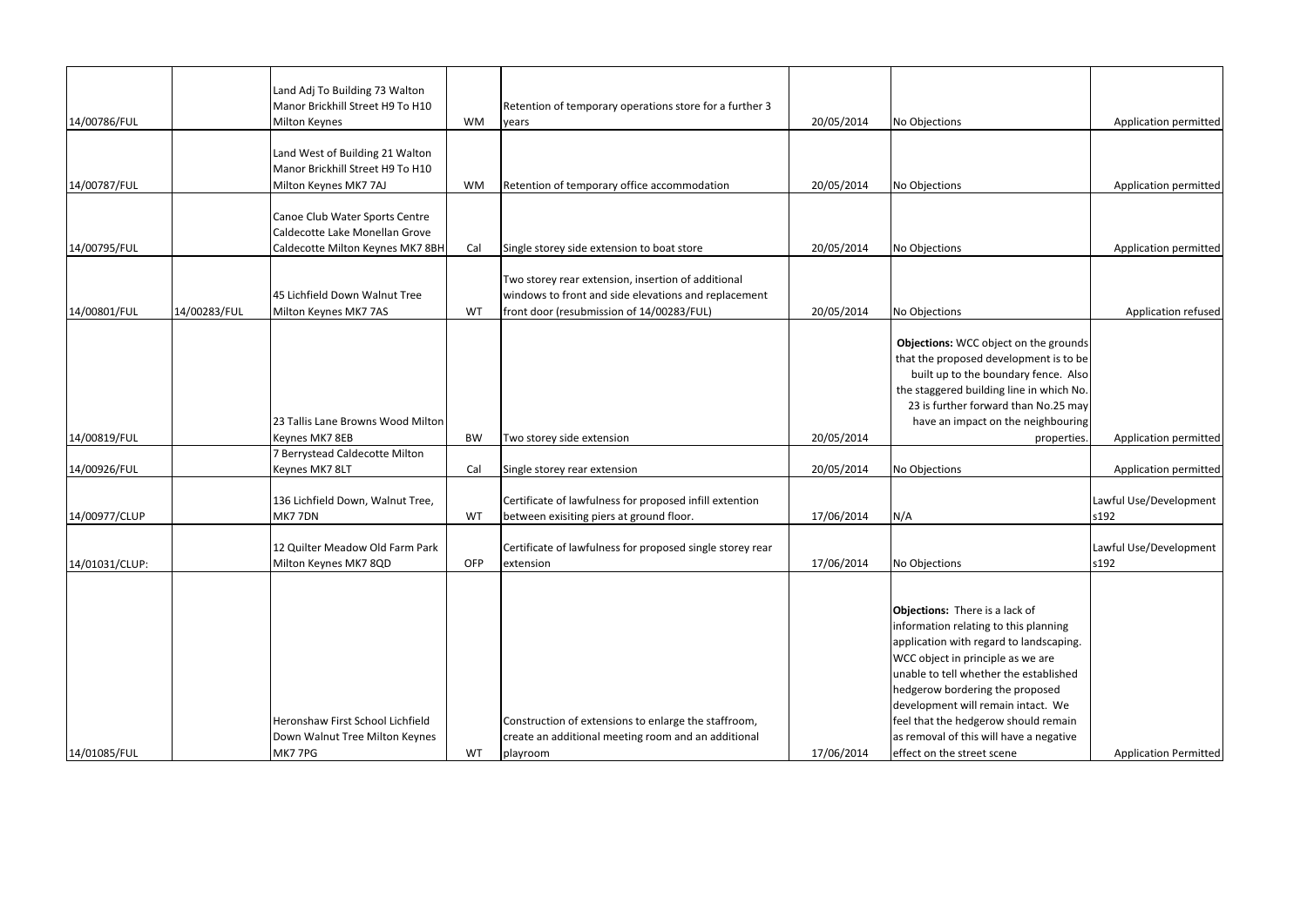|                |              | Land Adj To Building 73 Walton<br>Manor Brickhill Street H9 To H10                                   |           | Retention of temporary operations store for a further 3                                                                                                 |            |                                                                                                                                                                                                                                                                                                                                                                                             |                                |
|----------------|--------------|------------------------------------------------------------------------------------------------------|-----------|---------------------------------------------------------------------------------------------------------------------------------------------------------|------------|---------------------------------------------------------------------------------------------------------------------------------------------------------------------------------------------------------------------------------------------------------------------------------------------------------------------------------------------------------------------------------------------|--------------------------------|
| 14/00786/FUL   |              | Milton Keynes                                                                                        | <b>WM</b> | years                                                                                                                                                   | 20/05/2014 | No Objections                                                                                                                                                                                                                                                                                                                                                                               | Application permitted          |
| 14/00787/FUL   |              | Land West of Building 21 Walton<br>Manor Brickhill Street H9 To H10<br>Milton Keynes MK7 7AJ         | <b>WM</b> | Retention of temporary office accommodation                                                                                                             | 20/05/2014 | No Objections                                                                                                                                                                                                                                                                                                                                                                               | Application permitted          |
| 14/00795/FUL   |              | Canoe Club Water Sports Centre<br>Caldecotte Lake Monellan Grove<br>Caldecotte Milton Keynes MK7 8BH | Cal       | Single storey side extension to boat store                                                                                                              | 20/05/2014 | No Objections                                                                                                                                                                                                                                                                                                                                                                               | Application permitted          |
| 14/00801/FUL   | 14/00283/FUL | 45 Lichfield Down Walnut Tree<br>Milton Keynes MK7 7AS                                               | WT        | Two storey rear extension, insertion of additional<br>windows to front and side elevations and replacement<br>front door (resubmission of 14/00283/FUL) | 20/05/2014 | No Objections                                                                                                                                                                                                                                                                                                                                                                               | Application refused            |
|                |              | 23 Tallis Lane Browns Wood Milton                                                                    |           |                                                                                                                                                         |            | Objections: WCC object on the grounds<br>that the proposed development is to be<br>built up to the boundary fence. Also<br>the staggered building line in which No.<br>23 is further forward than No.25 may<br>have an impact on the neighbouring                                                                                                                                           |                                |
| 14/00819/FUL   |              | Keynes MK7 8EB                                                                                       | <b>BW</b> | Two storey side extension                                                                                                                               | 20/05/2014 | properties.                                                                                                                                                                                                                                                                                                                                                                                 | Application permitted          |
| 14/00926/FUL   |              | 7 Berrystead Caldecotte Milton<br>Keynes MK7 8LT                                                     | Cal       | Single storey rear extension                                                                                                                            | 20/05/2014 | No Objections                                                                                                                                                                                                                                                                                                                                                                               | Application permitted          |
| 14/00977/CLUP  |              | 136 Lichfield Down, Walnut Tree,<br>MK77DN                                                           | WT        | Certificate of lawfulness for proposed infill extention<br>between exisiting piers at ground floor.                                                     | 17/06/2014 | N/A                                                                                                                                                                                                                                                                                                                                                                                         | Lawful Use/Development<br>s192 |
| 14/01031/CLUP: |              | 12 Quilter Meadow Old Farm Park<br>Milton Keynes MK7 8QD                                             | OFP       | Certificate of lawfulness for proposed single storey rear<br>extension                                                                                  | 17/06/2014 | No Objections                                                                                                                                                                                                                                                                                                                                                                               | Lawful Use/Development<br>s192 |
| 14/01085/FUL   |              | Heronshaw First School Lichfield<br>Down Walnut Tree Milton Keynes<br>MK77PG                         | WT        | Construction of extensions to enlarge the staffroom,<br>create an additional meeting room and an additional<br>playroom                                 | 17/06/2014 | Objections: There is a lack of<br>information relating to this planning<br>application with regard to landscaping.<br>WCC object in principle as we are<br>unable to tell whether the established<br>hedgerow bordering the proposed<br>development will remain intact. We<br>feel that the hedgerow should remain<br>as removal of this will have a negative<br>effect on the street scene | <b>Application Permitted</b>   |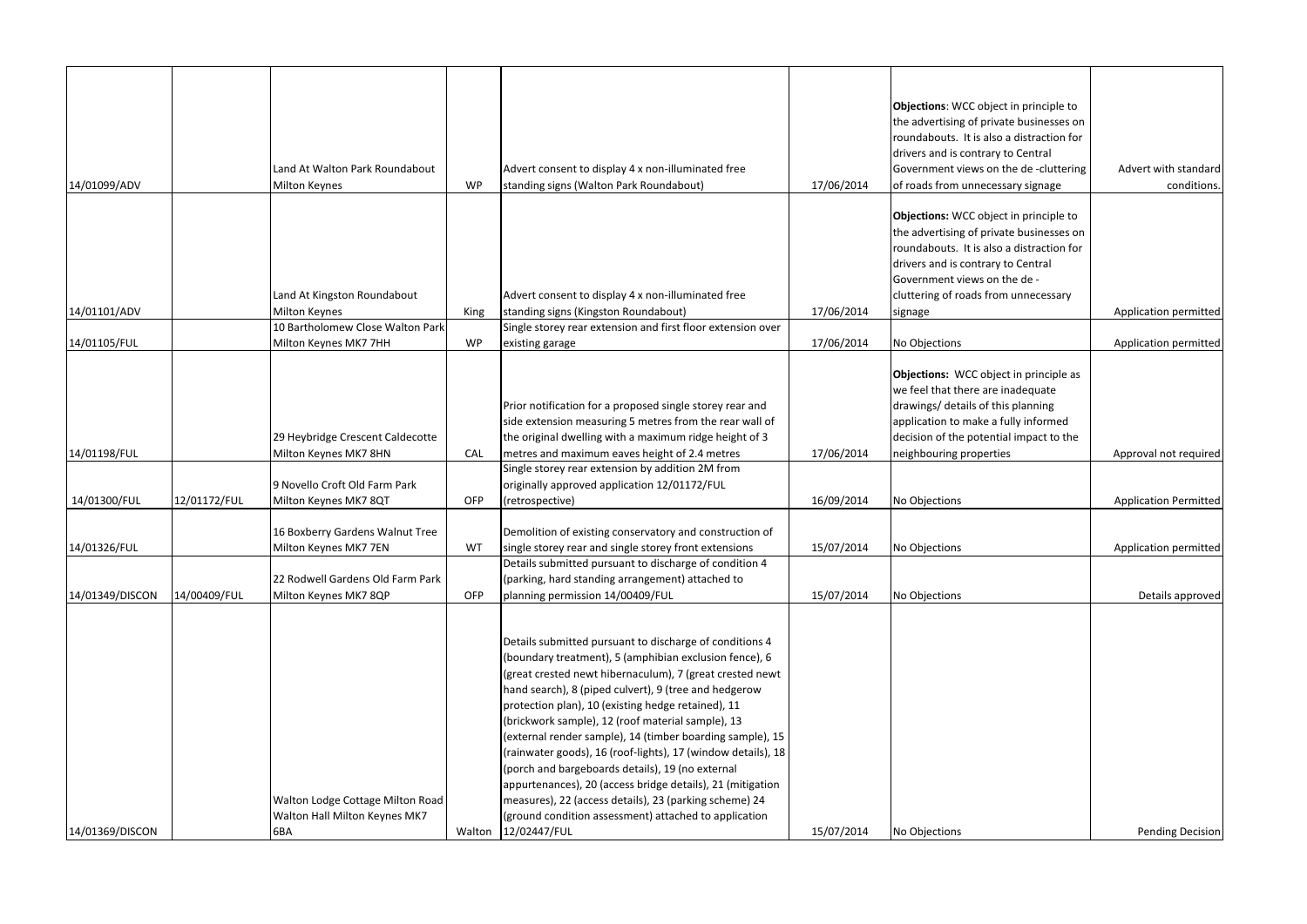|                 |              |                                                           |      |                                                                                                         |            | Objections: WCC object in principle to                             |                              |
|-----------------|--------------|-----------------------------------------------------------|------|---------------------------------------------------------------------------------------------------------|------------|--------------------------------------------------------------------|------------------------------|
|                 |              |                                                           |      |                                                                                                         |            | the advertising of private businesses on                           |                              |
|                 |              |                                                           |      |                                                                                                         |            | roundabouts. It is also a distraction for                          |                              |
|                 |              |                                                           |      |                                                                                                         |            | drivers and is contrary to Central                                 |                              |
|                 |              | Land At Walton Park Roundabout                            |      | Advert consent to display 4 x non-illuminated free                                                      |            | Government views on the de-cluttering                              | Advert with standard         |
| 14/01099/ADV    |              | <b>Milton Keynes</b>                                      | WP   | standing signs (Walton Park Roundabout)                                                                 | 17/06/2014 | of roads from unnecessary signage                                  | conditions.                  |
|                 |              |                                                           |      |                                                                                                         |            |                                                                    |                              |
|                 |              |                                                           |      |                                                                                                         |            | Objections: WCC object in principle to                             |                              |
|                 |              |                                                           |      |                                                                                                         |            | the advertising of private businesses on                           |                              |
|                 |              |                                                           |      |                                                                                                         |            | roundabouts. It is also a distraction for                          |                              |
|                 |              |                                                           |      |                                                                                                         |            | drivers and is contrary to Central                                 |                              |
|                 |              |                                                           |      |                                                                                                         |            | Government views on the de -                                       |                              |
|                 |              | Land At Kingston Roundabout                               |      | Advert consent to display 4 x non-illuminated free                                                      |            | cluttering of roads from unnecessary                               |                              |
| 14/01101/ADV    |              | <b>Milton Keynes</b>                                      | King | standing signs (Kingston Roundabout)                                                                    | 17/06/2014 | signage                                                            | Application permitted        |
|                 |              | 10 Bartholomew Close Walton Park                          |      | Single storey rear extension and first floor extension over                                             |            |                                                                    |                              |
| 14/01105/FUL    |              | Milton Keynes MK7 7HH                                     | WP   | existing garage                                                                                         | 17/06/2014 | No Objections                                                      | Application permitted        |
|                 |              |                                                           |      |                                                                                                         |            |                                                                    |                              |
|                 |              |                                                           |      |                                                                                                         |            | Objections: WCC object in principle as                             |                              |
|                 |              |                                                           |      |                                                                                                         |            | we feel that there are inadequate                                  |                              |
|                 |              |                                                           |      | Prior notification for a proposed single storey rear and                                                |            | drawings/ details of this planning                                 |                              |
|                 |              |                                                           |      | side extension measuring 5 metres from the rear wall of                                                 |            | application to make a fully informed                               |                              |
| 14/01198/FUL    |              | 29 Heybridge Crescent Caldecotte<br>Milton Keynes MK7 8HN | CAL  | the original dwelling with a maximum ridge height of 3<br>metres and maximum eaves height of 2.4 metres | 17/06/2014 | decision of the potential impact to the<br>neighbouring properties | Approval not required        |
|                 |              |                                                           |      | Single storey rear extension by addition 2M from                                                        |            |                                                                    |                              |
|                 |              | 9 Novello Croft Old Farm Park                             |      | originally approved application 12/01172/FUL                                                            |            |                                                                    |                              |
| 14/01300/FUL    | 12/01172/FUL | Milton Keynes MK7 8QT                                     | OFP  | (retrospective)                                                                                         | 16/09/2014 | No Objections                                                      | <b>Application Permitted</b> |
|                 |              |                                                           |      |                                                                                                         |            |                                                                    |                              |
|                 |              | 16 Boxberry Gardens Walnut Tree                           |      | Demolition of existing conservatory and construction of                                                 |            |                                                                    |                              |
| 14/01326/FUL    |              | Milton Keynes MK7 7EN                                     | WT   | single storey rear and single storey front extensions                                                   | 15/07/2014 | No Objections                                                      | Application permitted        |
|                 |              |                                                           |      | Details submitted pursuant to discharge of condition 4                                                  |            |                                                                    |                              |
|                 |              | 22 Rodwell Gardens Old Farm Park                          |      | (parking, hard standing arrangement) attached to                                                        |            |                                                                    |                              |
| 14/01349/DISCON | 14/00409/FUL | Milton Keynes MK7 8QP                                     | OFP  | planning permission 14/00409/FUL                                                                        | 15/07/2014 | No Objections                                                      | Details approved             |
|                 |              |                                                           |      |                                                                                                         |            |                                                                    |                              |
|                 |              |                                                           |      |                                                                                                         |            |                                                                    |                              |
|                 |              |                                                           |      | Details submitted pursuant to discharge of conditions 4                                                 |            |                                                                    |                              |
|                 |              |                                                           |      | (boundary treatment), 5 (amphibian exclusion fence), 6                                                  |            |                                                                    |                              |
|                 |              |                                                           |      | (great crested newt hibernaculum), 7 (great crested newt                                                |            |                                                                    |                              |
|                 |              |                                                           |      | hand search), 8 (piped culvert), 9 (tree and hedgerow                                                   |            |                                                                    |                              |
|                 |              |                                                           |      | protection plan), 10 (existing hedge retained), 11                                                      |            |                                                                    |                              |
|                 |              |                                                           |      | (brickwork sample), 12 (roof material sample), 13                                                       |            |                                                                    |                              |
|                 |              |                                                           |      | (external render sample), 14 (timber boarding sample), 15                                               |            |                                                                    |                              |
|                 |              |                                                           |      | (rainwater goods), 16 (roof-lights), 17 (window details), 18                                            |            |                                                                    |                              |
|                 |              |                                                           |      | (porch and bargeboards details), 19 (no external                                                        |            |                                                                    |                              |
|                 |              |                                                           |      | appurtenances), 20 (access bridge details), 21 (mitigation                                              |            |                                                                    |                              |
|                 |              | Walton Lodge Cottage Milton Road                          |      | measures), 22 (access details), 23 (parking scheme) 24                                                  |            |                                                                    |                              |
|                 |              | Walton Hall Milton Keynes MK7                             |      | (ground condition assessment) attached to application                                                   |            |                                                                    |                              |
| 14/01369/DISCON |              | 6BA                                                       |      | Walton 12/02447/FUL                                                                                     | 15/07/2014 | No Objections                                                      | <b>Pending Decision</b>      |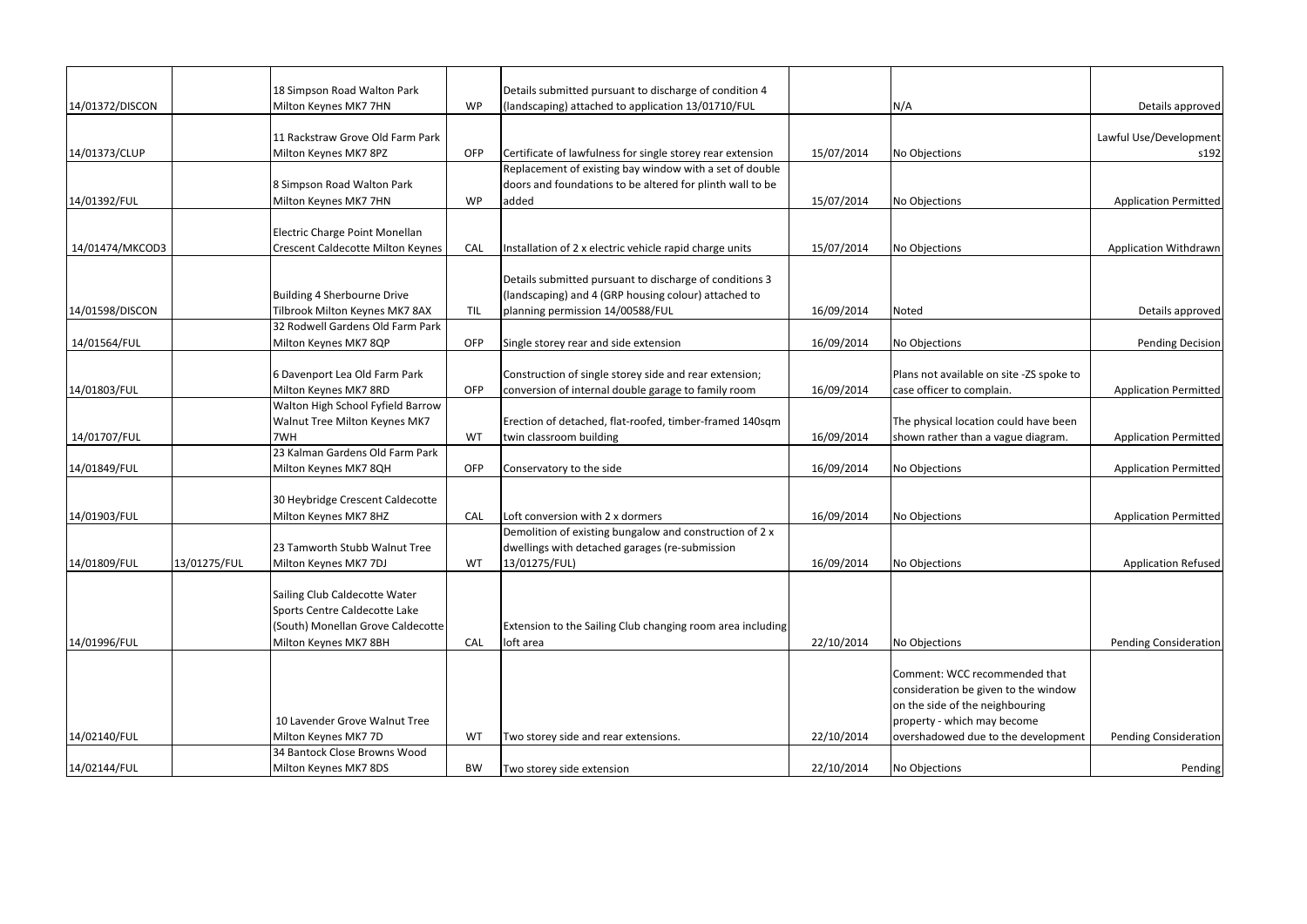| 14/01372/DISCON |              | 18 Simpson Road Walton Park<br>Milton Keynes MK7 7HN | <b>WP</b> | Details submitted pursuant to discharge of condition 4<br>(landscaping) attached to application 13/01710/FUL |            | N/A                                      | Details approved             |
|-----------------|--------------|------------------------------------------------------|-----------|--------------------------------------------------------------------------------------------------------------|------------|------------------------------------------|------------------------------|
|                 |              |                                                      |           |                                                                                                              |            |                                          |                              |
|                 |              | 11 Rackstraw Grove Old Farm Park                     |           |                                                                                                              |            |                                          | Lawful Use/Development       |
| 14/01373/CLUP   |              | Milton Keynes MK7 8PZ                                | OFP       | Certificate of lawfulness for single storey rear extension                                                   | 15/07/2014 | No Objections                            | s192                         |
|                 |              |                                                      |           | Replacement of existing bay window with a set of double                                                      |            |                                          |                              |
|                 |              | 8 Simpson Road Walton Park                           |           | doors and foundations to be altered for plinth wall to be                                                    |            |                                          |                              |
| 14/01392/FUL    |              | Milton Keynes MK7 7HN                                | <b>WP</b> | added                                                                                                        | 15/07/2014 | No Objections                            | <b>Application Permitted</b> |
|                 |              | Electric Charge Point Monellan                       |           |                                                                                                              |            |                                          |                              |
| 14/01474/MKCOD3 |              | <b>Crescent Caldecotte Milton Keynes</b>             | CAL       |                                                                                                              | 15/07/2014 | No Objections                            | <b>Application Withdrawn</b> |
|                 |              |                                                      |           | nstallation of 2 x electric vehicle rapid charge units                                                       |            |                                          |                              |
|                 |              |                                                      |           | Details submitted pursuant to discharge of conditions 3                                                      |            |                                          |                              |
|                 |              | Building 4 Sherbourne Drive                          |           | (landscaping) and 4 (GRP housing colour) attached to                                                         |            |                                          |                              |
| 14/01598/DISCON |              | Tilbrook Milton Keynes MK7 8AX                       | TIL       | planning permission 14/00588/FUL                                                                             | 16/09/2014 | Noted                                    | Details approved             |
|                 |              | 32 Rodwell Gardens Old Farm Park                     |           |                                                                                                              |            |                                          |                              |
| 14/01564/FUL    |              | Milton Keynes MK7 8QP                                | OFP       | Single storey rear and side extension                                                                        | 16/09/2014 | No Objections                            | <b>Pending Decision</b>      |
|                 |              |                                                      |           |                                                                                                              |            |                                          |                              |
|                 |              | 6 Davenport Lea Old Farm Park                        |           | Construction of single storey side and rear extension;                                                       |            | Plans not available on site -ZS spoke to |                              |
| 14/01803/FUL    |              | Milton Keynes MK7 8RD                                | OFP       | conversion of internal double garage to family room                                                          | 16/09/2014 | case officer to complain.                | <b>Application Permitted</b> |
|                 |              | Walton High School Fyfield Barrow                    |           |                                                                                                              |            |                                          |                              |
|                 |              | Walnut Tree Milton Keynes MK7                        |           | Erection of detached, flat-roofed, timber-framed 140sqm                                                      |            | The physical location could have been    |                              |
| 14/01707/FUL    |              | 7WH<br>23 Kalman Gardens Old Farm Park               | WT        | twin classroom building                                                                                      | 16/09/2014 | shown rather than a vague diagram.       | <b>Application Permitted</b> |
| 14/01849/FUL    |              |                                                      | OFP       |                                                                                                              | 16/09/2014 |                                          |                              |
|                 |              | Milton Keynes MK7 8QH                                |           | Conservatory to the side                                                                                     |            | No Objections                            | <b>Application Permitted</b> |
|                 |              | 30 Heybridge Crescent Caldecotte                     |           |                                                                                                              |            |                                          |                              |
| 14/01903/FUL    |              | Milton Keynes MK7 8HZ                                | CAL       | Loft conversion with 2 x dormers                                                                             | 16/09/2014 | No Objections                            | <b>Application Permitted</b> |
|                 |              |                                                      |           | Demolition of existing bungalow and construction of 2 x                                                      |            |                                          |                              |
|                 |              | 23 Tamworth Stubb Walnut Tree                        |           | dwellings with detached garages (re-submission                                                               |            |                                          |                              |
| 14/01809/FUL    | 13/01275/FUL | Milton Keynes MK7 7DJ                                | WT        | 13/01275/FUL)                                                                                                | 16/09/2014 | No Objections                            | <b>Application Refused</b>   |
|                 |              |                                                      |           |                                                                                                              |            |                                          |                              |
|                 |              | Sailing Club Caldecotte Water                        |           |                                                                                                              |            |                                          |                              |
|                 |              | Sports Centre Caldecotte Lake                        |           |                                                                                                              |            |                                          |                              |
|                 |              | (South) Monellan Grove Caldecotte                    |           | Extension to the Sailing Club changing room area including                                                   |            |                                          |                              |
| 14/01996/FUL    |              | Milton Keynes MK7 8BH                                | CAL       | loft area                                                                                                    | 22/10/2014 | No Objections                            | <b>Pending Consideration</b> |
|                 |              |                                                      |           |                                                                                                              |            | Comment: WCC recommended that            |                              |
|                 |              |                                                      |           |                                                                                                              |            | consideration be given to the window     |                              |
|                 |              |                                                      |           |                                                                                                              |            | on the side of the neighbouring          |                              |
|                 |              | 10 Lavender Grove Walnut Tree                        |           |                                                                                                              |            | property - which may become              |                              |
| 14/02140/FUL    |              | Milton Keynes MK7 7D                                 | WT        | Two storey side and rear extensions.                                                                         | 22/10/2014 | overshadowed due to the development      | <b>Pending Consideration</b> |
|                 |              | 34 Bantock Close Browns Wood                         |           |                                                                                                              |            |                                          |                              |
| 14/02144/FUL    |              | Milton Keynes MK7 8DS                                | <b>BW</b> | Two storey side extension                                                                                    | 22/10/2014 | No Objections                            | Pending                      |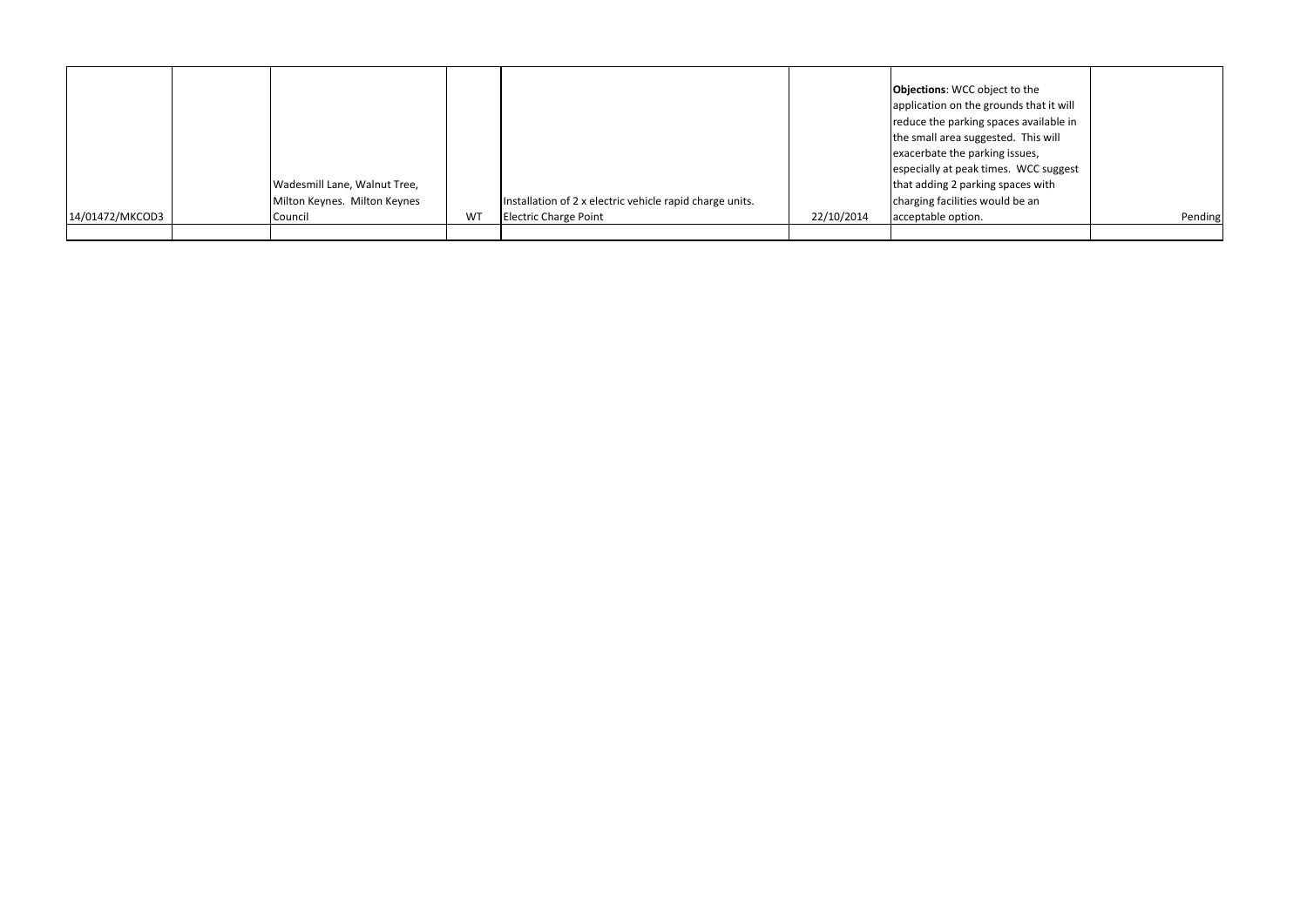|                 | Wadesmill Lane, Walnut Tree,<br>Milton Keynes. Milton Keynes |    | Installation of 2 x electric vehicle rapid charge units. |            | <b>Objections:</b> WCC object to the<br>application on the grounds that it will<br>reduce the parking spaces available in<br>the small area suggested. This will<br>exacerbate the parking issues,<br>especially at peak times. WCC suggest<br>that adding 2 parking spaces with<br>charging facilities would be an |         |
|-----------------|--------------------------------------------------------------|----|----------------------------------------------------------|------------|---------------------------------------------------------------------------------------------------------------------------------------------------------------------------------------------------------------------------------------------------------------------------------------------------------------------|---------|
| 14/01472/MKCOD3 | Council                                                      | WT | <b>Electric Charge Point</b>                             | 22/10/2014 | acceptable option.                                                                                                                                                                                                                                                                                                  | Pending |
|                 |                                                              |    |                                                          |            |                                                                                                                                                                                                                                                                                                                     |         |